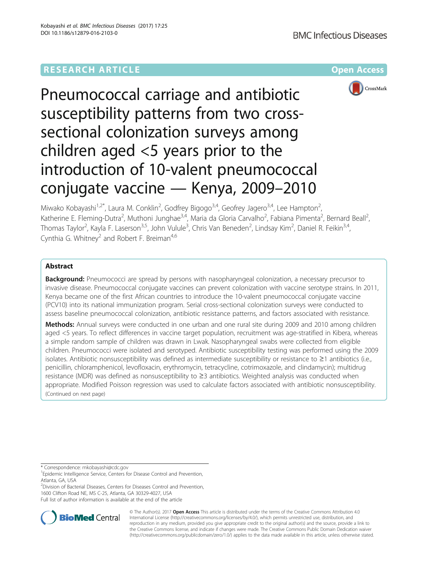# **RESEARCH ARTICLE Example 2014 12:30 The Company Access** (RESEARCH ARTICLE



Pneumococcal carriage and antibiotic susceptibility patterns from two crosssectional colonization surveys among children aged <5 years prior to the introduction of 10-valent pneumococcal conjugate vaccine — Kenya, 2009–2010

Miwako Kobayashi<sup>1,2\*</sup>, Laura M. Conklin<sup>2</sup>, Godfrey Bigogo<sup>3,4</sup>, Geofrey Jagero<sup>3,4</sup>, Lee Hampton<sup>2</sup> , Katherine E. Fleming-Dutra<sup>2</sup>, Muthoni Junghae<sup>3,4</sup>, Maria da Gloria Carvalho<sup>2</sup>, Fabiana Pimenta<sup>2</sup>, Bernard Beall<sup>2</sup> , Thomas Taylor<sup>2</sup>, Kayla F. Laserson<sup>3,5</sup>, John Vulule<sup>3</sup>, Chris Van Beneden<sup>2</sup>, Lindsay Kim<sup>2</sup>, Daniel R. Feikin<sup>3,4</sup>, Cynthia G. Whitney<sup>2</sup> and Robert F. Breiman<sup>4,6</sup>

# Abstract

**Background:** Pneumococci are spread by persons with nasopharyngeal colonization, a necessary precursor to invasive disease. Pneumococcal conjugate vaccines can prevent colonization with vaccine serotype strains. In 2011, Kenya became one of the first African countries to introduce the 10-valent pneumococcal conjugate vaccine (PCV10) into its national immunization program. Serial cross-sectional colonization surveys were conducted to assess baseline pneumococcal colonization, antibiotic resistance patterns, and factors associated with resistance.

Methods: Annual surveys were conducted in one urban and one rural site during 2009 and 2010 among children aged <5 years. To reflect differences in vaccine target population, recruitment was age-stratified in Kibera, whereas a simple random sample of children was drawn in Lwak. Nasopharyngeal swabs were collected from eligible children. Pneumococci were isolated and serotyped. Antibiotic susceptibility testing was performed using the 2009 isolates. Antibiotic nonsusceptibility was defined as intermediate susceptibility or resistance to ≥1 antibiotics (i.e., penicillin, chloramphenicol, levofloxacin, erythromycin, tetracycline, cotrimoxazole, and clindamycin); multidrug resistance (MDR) was defined as nonsusceptibility to ≥3 antibiotics. Weighted analysis was conducted when appropriate. Modified Poisson regression was used to calculate factors associated with antibiotic nonsusceptibility. (Continued on next page)

\* Correspondence: [mkobayashi@cdc.gov](mailto:mkobayashi@cdc.gov) <sup>1</sup>

<sup>2</sup> Division of Bacterial Diseases, Centers for Diseases Control and Prevention, 1600 Clifton Road NE, MS C-25, Atlanta, GA 30329-4027, USA

Full list of author information is available at the end of the article



© The Author(s). 2017 **Open Access** This article is distributed under the terms of the Creative Commons Attribution 4.0 International License [\(http://creativecommons.org/licenses/by/4.0/](http://creativecommons.org/licenses/by/4.0/)), which permits unrestricted use, distribution, and reproduction in any medium, provided you give appropriate credit to the original author(s) and the source, provide a link to the Creative Commons license, and indicate if changes were made. The Creative Commons Public Domain Dedication waiver [\(http://creativecommons.org/publicdomain/zero/1.0/](http://creativecommons.org/publicdomain/zero/1.0/)) applies to the data made available in this article, unless otherwise stated.

<sup>&</sup>lt;sup>1</sup> Epidemic Intelligence Service, Centers for Disease Control and Prevention, Atlanta, GA, USA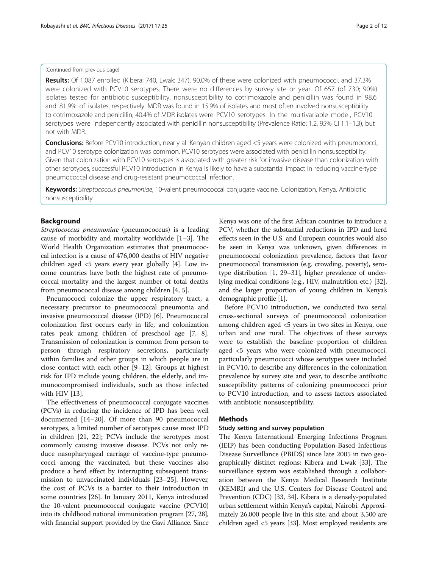### (Continued from previous page)

Results: Of 1,087 enrolled (Kibera: 740, Lwak: 347), 90.0% of these were colonized with pneumococci, and 37.3% were colonized with PCV10 serotypes. There were no differences by survey site or year. Of 657 (of 730; 90%) isolates tested for antibiotic susceptibility, nonsusceptibility to cotrimoxazole and penicillin was found in 98.6 and 81.9% of isolates, respectively. MDR was found in 15.9% of isolates and most often involved nonsusceptibility to cotrimoxazole and penicillin; 40.4% of MDR isolates were PCV10 serotypes. In the multivariable model, PCV10 serotypes were independently associated with penicillin nonsusceptibility (Prevalence Ratio: 1.2, 95% CI 1.1-1.3), but not with MDR.

**Conclusions:** Before PCV10 introduction, nearly all Kenyan children aged <5 years were colonized with pneumococci, and PCV10 serotype colonization was common. PCV10 serotypes were associated with penicillin nonsusceptibility. Given that colonization with PCV10 serotypes is associated with greater risk for invasive disease than colonization with other serotypes, successful PCV10 introduction in Kenya is likely to have a substantial impact in reducing vaccine-type pneumococcal disease and drug-resistant pneumococcal infection.

Keywords: Streptococcus pneumoniae, 10-valent pneumococcal conjugate vaccine, Colonization, Kenya, Antibiotic nonsusceptibility

### Background

Streptococcus pneumoniae (pneumococcus) is a leading cause of morbidity and mortality worldwide [\[1](#page-9-0)–[3](#page-9-0)]. The World Health Organization estimates that pneumococcal infection is a cause of 476,000 deaths of HIV negative children aged  $\langle 5 \rangle$  years every year globally [[4\]](#page-9-0). Low income countries have both the highest rate of pneumococcal mortality and the largest number of total deaths from pneumococcal disease among children [\[4](#page-9-0), [5](#page-9-0)].

Pneumococci colonize the upper respiratory tract, a necessary precursor to pneumococcal pneumonia and invasive pneumococcal disease (IPD) [\[6](#page-9-0)]. Pneumococcal colonization first occurs early in life, and colonization rates peak among children of preschool age [[7, 8](#page-9-0)]. Transmission of colonization is common from person to person through respiratory secretions, particularly within families and other groups in which people are in close contact with each other [[9](#page-9-0)–[12](#page-9-0)]. Groups at highest risk for IPD include young children, the elderly, and immunocompromised individuals, such as those infected with HIV [\[13](#page-9-0)].

The effectiveness of pneumococcal conjugate vaccines (PCVs) in reducing the incidence of IPD has been well documented [[14](#page-9-0)–[20](#page-10-0)]. Of more than 90 pneumococcal serotypes, a limited number of serotypes cause most IPD in children [\[21, 22\]](#page-10-0); PCVs include the serotypes most commonly causing invasive disease. PCVs not only reduce nasopharyngeal carriage of vaccine-type pneumococci among the vaccinated, but these vaccines also produce a herd effect by interrupting subsequent transmission to unvaccinated individuals [[23](#page-10-0)–[25](#page-10-0)]. However, the cost of PCVs is a barrier to their introduction in some countries [[26](#page-10-0)]. In January 2011, Kenya introduced the 10-valent pneumococcal conjugate vaccine (PCV10) into its childhood national immunization program [[27](#page-10-0), [28](#page-10-0)], with financial support provided by the Gavi Alliance. Since Kenya was one of the first African countries to introduce a PCV, whether the substantial reductions in IPD and herd effects seen in the U.S. and European countries would also be seen in Kenya was unknown, given differences in pneumococcal colonization prevalence, factors that favor pneumococcal transmission (e.g. crowding, poverty), serotype distribution [\[1,](#page-9-0) [29](#page-10-0)–[31\]](#page-10-0), higher prevalence of underlying medical conditions (e.g., HIV, malnutrition etc.) [\[32](#page-10-0)], and the larger proportion of young children in Kenya's demographic profile [\[1\]](#page-9-0).

Before PCV10 introduction, we conducted two serial cross-sectional surveys of pneumococcal colonization among children aged <5 years in two sites in Kenya, one urban and one rural. The objectives of these surveys were to establish the baseline proportion of children aged <5 years who were colonized with pneumococci, particularly pneumococci whose serotypes were included in PCV10, to describe any differences in the colonization prevalence by survey site and year, to describe antibiotic susceptibility patterns of colonizing pneumococci prior to PCV10 introduction, and to assess factors associated with antibiotic nonsusceptibility.

### Methods

### Study setting and survey population

The Kenya International Emerging Infections Program (IEIP) has been conducting Population-Based Infectious Disease Surveillance (PBIDS) since late 2005 in two geographically distinct regions: Kibera and Lwak [\[33\]](#page-10-0). The surveillance system was established through a collaboration between the Kenya Medical Research Institute (KEMRI) and the U.S. Centers for Disease Control and Prevention (CDC) [[33, 34\]](#page-10-0). Kibera is a densely-populated urban settlement within Kenya's capital, Nairobi. Approximately 26,000 people live in this site, and about 3,500 are children aged <5 years [[33](#page-10-0)]. Most employed residents are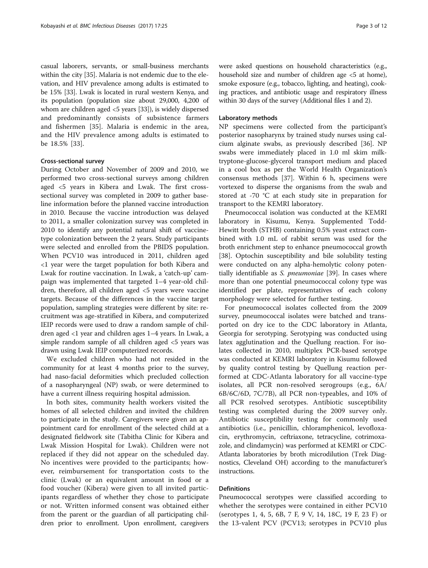casual laborers, servants, or small-business merchants within the city [\[35\]](#page-10-0). Malaria is not endemic due to the elevation, and HIV prevalence among adults is estimated to be 15% [\[33\]](#page-10-0). Lwak is located in rural western Kenya, and its population (population size about 29,000, 4,200 of whom are children aged <5 years [\[33\]](#page-10-0)), is widely dispersed and predominantly consists of subsistence farmers and fishermen [[35\]](#page-10-0). Malaria is endemic in the area, and the HIV prevalence among adults is estimated to be 18.5% [[33\]](#page-10-0).

### Cross-sectional survey

During October and November of 2009 and 2010, we performed two cross-sectional surveys among children aged <5 years in Kibera and Lwak. The first crosssectional survey was completed in 2009 to gather baseline information before the planned vaccine introduction in 2010. Because the vaccine introduction was delayed to 2011, a smaller colonization survey was completed in 2010 to identify any potential natural shift of vaccinetype colonization between the 2 years. Study participants were selected and enrolled from the PBIDS population. When PCV10 was introduced in 2011, children aged <1 year were the target population for both Kibera and Lwak for routine vaccination. In Lwak, a 'catch-up' campaign was implemented that targeted 1–4 year-old children, therefore, all children aged <5 years were vaccine targets. Because of the differences in the vaccine target population, sampling strategies were different by site: recruitment was age-stratified in Kibera, and computerized IEIP records were used to draw a random sample of children aged <1 year and children ages 1–4 years. In Lwak, a simple random sample of all children aged <5 years was drawn using Lwak IEIP computerized records.

We excluded children who had not resided in the community for at least 4 months prior to the survey, had naso-facial deformities which precluded collection of a nasopharyngeal (NP) swab, or were determined to have a current illness requiring hospital admission.

In both sites, community health workers visited the homes of all selected children and invited the children to participate in the study. Caregivers were given an appointment card for enrollment of the selected child at a designated fieldwork site (Tabitha Clinic for Kibera and Lwak Mission Hospital for Lwak). Children were not replaced if they did not appear on the scheduled day. No incentives were provided to the participants; however, reimbursement for transportation costs to the clinic (Lwak) or an equivalent amount in food or a food voucher (Kibera) were given to all invited participants regardless of whether they chose to participate or not. Written informed consent was obtained either from the parent or the guardian of all participating children prior to enrollment. Upon enrollment, caregivers

were asked questions on household characteristics (e.g., household size and number of children age <5 at home), smoke exposure (e.g., tobacco, lighting, and heating), cooking practices, and antibiotic usage and respiratory illness within 30 days of the survey (Additional files [1](#page-9-0) and [2\)](#page-9-0).

### Laboratory methods

NP specimens were collected from the participant's posterior nasopharynx by trained study nurses using calcium alginate swabs, as previously described [\[36](#page-10-0)]. NP swabs were immediately placed in 1.0 ml skim milktryptone-glucose-glycerol transport medium and placed in a cool box as per the World Health Organization's consensus methods [[37\]](#page-10-0). Within 6 h, specimens were vortexed to disperse the organisms from the swab and stored at -70 °C at each study site in preparation for transport to the KEMRI laboratory.

Pneumococcal isolation was conducted at the KEMRI laboratory in Kisumu, Kenya. Supplemented Todd-Hewitt broth (STHB) containing 0.5% yeast extract combined with 1.0 mL of rabbit serum was used for the broth enrichment step to enhance pneumococcal growth [[38\]](#page-10-0). Optochin susceptibility and bile solubility testing were conducted on any alpha-hemolytic colony poten-tially identifiable as S. pneumoniae [\[39](#page-10-0)]. In cases where more than one potential pneumococcal colony type was identified per plate, representatives of each colony morphology were selected for further testing.

For pneumococcal isolates collected from the 2009 survey, pneumococcal isolates were batched and transported on dry ice to the CDC laboratory in Atlanta, Georgia for serotyping. Serotyping was conducted using latex agglutination and the Quellung reaction. For isolates collected in 2010, multiplex PCR-based serotype was conducted at KEMRI laboratory in Kisumu followed by quality control testing by Quellung reaction performed at CDC-Atlanta laboratory for all vaccine-type isolates, all PCR non-resolved serogroups (e.g., 6A/ 6B/6C/6D, 7C/7B), all PCR non-typeables, and 10% of all PCR resolved serotypes. Antibiotic susceptibility testing was completed during the 2009 survey only. Antibiotic susceptibility testing for commonly used antibiotics (i.e., penicillin, chloramphenicol, levofloxacin, erythromycin, ceftriaxone, tetracycline, cotrimoxazole, and clindamycin) was performed at KEMRI or CDC-Atlanta laboratories by broth microdilution (Trek Diagnostics, Cleveland OH) according to the manufacturer's instructions.

### **Definitions**

Pneumococcal serotypes were classified according to whether the serotypes were contained in either PCV10 (serotypes 1, 4, 5, 6B, 7 F, 9 V, 14, 18C, 19 F, 23 F) or the 13-valent PCV (PCV13; serotypes in PCV10 plus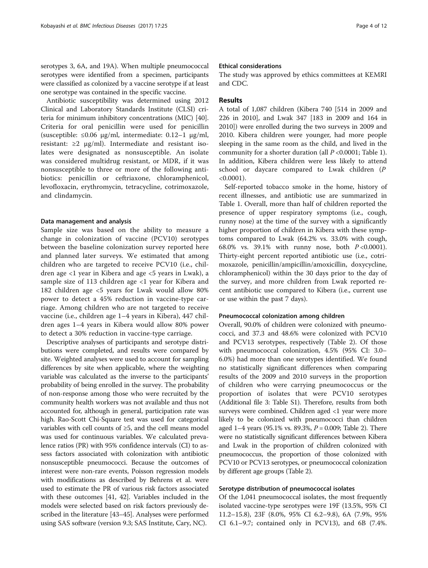serotypes 3, 6A, and 19A). When multiple pneumococcal serotypes were identified from a specimen, participants were classified as colonized by a vaccine serotype if at least one serotype was contained in the specific vaccine.

Antibiotic susceptibility was determined using 2012 Clinical and Laboratory Standards Institute (CLSI) criteria for minimum inhibitory concentrations (MIC) [\[40](#page-10-0)]. Criteria for oral penicillin were used for penicillin (susceptible:  $\leq 0.06$  μg/ml, intermediate: 0.12–1 μg/ml, resistant:  $\geq 2$  μg/ml). Intermediate and resistant isolates were designated as nonsusceptible. An isolate was considered multidrug resistant, or MDR, if it was nonsusceptible to three or more of the following antibiotics: penicillin or ceftriaxone, chloramphenicol, levofloxacin, erythromycin, tetracycline, cotrimoxazole, and clindamycin.

### Data management and analysis

Sample size was based on the ability to measure a change in colonization of vaccine (PCV10) serotypes between the baseline colonization survey reported here and planned later surveys. We estimated that among children who are targeted to receive PCV10 (i.e., children age <1 year in Kibera and age <5 years in Lwak), a sample size of 113 children age  $<$ 1 year for Kibera and 182 children age <5 years for Lwak would allow 80% power to detect a 45% reduction in vaccine-type carriage. Among children who are not targeted to receive vaccine (i.e., children age 1–4 years in Kibera), 447 children ages 1–4 years in Kibera would allow 80% power to detect a 30% reduction in vaccine-type carriage.

Descriptive analyses of participants and serotype distributions were completed, and results were compared by site. Weighted analyses were used to account for sampling differences by site when applicable, where the weighting variable was calculated as the inverse to the participants' probability of being enrolled in the survey. The probability of non-response among those who were recruited by the community health workers was not available and thus not accounted for, although in general, participation rate was high. Rao-Scott Chi-Square test was used for categorical variables with cell counts of ≥5, and the cell means model was used for continuous variables. We calculated prevalence ratios (PR) with 95% confidence intervals (CI) to assess factors associated with colonization with antibiotic nonsusceptible pneumococci. Because the outcomes of interest were non-rare events, Poisson regression models with modifications as described by Behrens et al. were used to estimate the PR of various risk factors associated with these outcomes [\[41, 42](#page-10-0)]. Variables included in the models were selected based on risk factors previously described in the literature [\[43](#page-10-0)–[45](#page-10-0)]. Analyses were performed using SAS software (version 9.3; SAS Institute, Cary, NC).

### Ethical considerations

The study was approved by ethics committees at KEMRI and CDC.

### Results

A total of 1,087 children (Kibera 740 [514 in 2009 and 226 in 2010], and Lwak 347 [183 in 2009 and 164 in 2010]) were enrolled during the two surveys in 2009 and 2010. Kibera children were younger, had more people sleeping in the same room as the child, and lived in the community for a shorter duration (all  $P < 0.0001$ ; Table [1](#page-4-0)). In addition, Kibera children were less likely to attend school or daycare compared to Lwak children (P  $< 0.0001$ ).

Self-reported tobacco smoke in the home, history of recent illnesses, and antibiotic use are summarized in Table [1.](#page-4-0) Overall, more than half of children reported the presence of upper respiratory symptoms (i.e., cough, runny nose) at the time of the survey with a significantly higher proportion of children in Kibera with these symptoms compared to Lwak (64.2% vs. 33.0% with cough, 68.0% vs. 39.1% with runny nose, both  $P < 0.0001$ ). Thirty-eight percent reported antibiotic use (i.e., cotrimoxazole, penicillin/ampicillin/amoxicillin, doxycycline, chloramphenicol) within the 30 days prior to the day of the survey, and more children from Lwak reported recent antibiotic use compared to Kibera (i.e., current use or use within the past 7 days).

### Pneumococcal colonization among children

Overall, 90.0% of children were colonized with pneumococci, and 37.3 and 48.6% were colonized with PCV10 and PCV13 serotypes, respectively (Table [2](#page-4-0)). Of those with pneumococcal colonization, 4.5% (95% CI: 3.0– 6.0%) had more than one serotypes identified. We found no statistically significant differences when comparing results of the 2009 and 2010 surveys in the proportion of children who were carrying pneumococcus or the proportion of isolates that were PCV10 serotypes (Additional file [3:](#page-9-0) Table S1). Therefore, results from both surveys were combined. Children aged <1 year were more likely to be colonized with pneumococci than children aged  $1-4$  years (95.1% vs. 89.3%,  $P = 0.009$ ; Table [2](#page-4-0)). There were no statistically significant differences between Kibera and Lwak in the proportion of children colonized with pneumococcus, the proportion of those colonized with PCV10 or PCV13 serotypes, or pneumococcal colonization by different age groups (Table [2\)](#page-4-0).

### Serotype distribution of pneumococcal isolates

Of the 1,041 pneumococcal isolates, the most frequently isolated vaccine-type serotypes were 19F (13.5%, 95% CI 11.2–15.8), 23F (8.0%, 95% CI 6.2–9.8), 6A (7.9%, 95% CI 6.1–9.7; contained only in PCV13), and 6B (7.4%.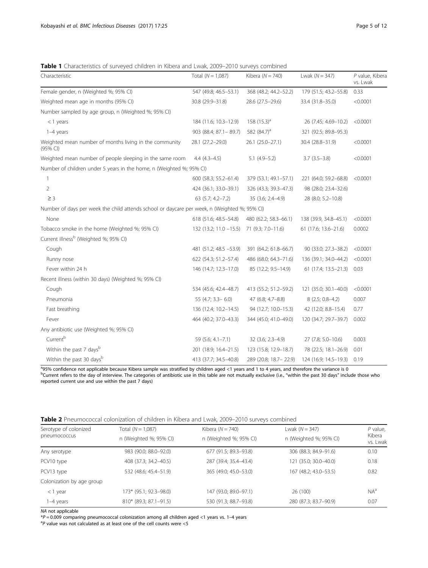<span id="page-4-0"></span>Table 1 Characteristics of surveyed children in Kibera and Lwak, 2009-2010 surveys combined

| Characteristic                                                                               | Total $(N = 1,087)$      | Kibera $(N = 740)$      | Lwak $(N = 347)$      | P value, Kibera<br>vs. Lwak |
|----------------------------------------------------------------------------------------------|--------------------------|-------------------------|-----------------------|-----------------------------|
| Female gender, n (Weighted %; 95% CI)                                                        | 547 (49.8; 46.5-53.1)    | 368 (48.2; 44.2-52.2)   | 179 (51.5; 43.2-55.8) | 0.33                        |
| Weighted mean age in months (95% CI)                                                         | 30.8 (29.9-31.8)         | 28.6 (27.5-29.6)        | 33.4 (31.8-35.0)      | < 0.0001                    |
| Number sampled by age group, n (Weighted %; 95% CI)                                          |                          |                         |                       |                             |
| $<$ 1 years                                                                                  | 184 (11.6; 10.3-12.9)    | 158 $(15.3)^a$          | 26 (7.45; 4.69-10.2)  | < 0.0001                    |
| 1-4 years                                                                                    | 903 (88.4; 87.1 - 89.7)  | 582 (84.7) <sup>a</sup> | 321 (92.5; 89.8-95.3) |                             |
| Weighted mean number of months living in the community<br>(95% CI)                           | 28.1 (27.2-29.0)         | 26.1 (25.0-27.1)        | 30.4 (28.8-31.9)      | < 0.0001                    |
| Weighted mean number of people sleeping in the same room                                     | $4.4(4.3-4.5)$           | $5.1(4.9-5.2)$          | $3.7(3.5-3.8)$        | < 0.0001                    |
| Number of children under 5 years in the home, n (Weighted %; 95% CI)                         |                          |                         |                       |                             |
| $\mathbf{1}$                                                                                 | 600 (58.3; 55.2-61.4)    | 379 (53.1; 49.1-57.1)   | 221 (64.0; 59.2-68.8) | < 0.0001                    |
| 2                                                                                            | 424 (36.1; 33.0-39.1)    | 326 (43.3; 39.3-47.3)   | 98 (28.0; 23.4-32.6)  |                             |
| $\geq$ 3                                                                                     | 63 (5.7; 4.2-7.2)        | 35 (3.6; 2.4-4.9)       | 28 (8.0; 5.2-10.8)    |                             |
| Number of days per week the child attends school or daycare per week, n (Weighted %; 95% CI) |                          |                         |                       |                             |
| None                                                                                         | 618 (51.6; 48.5-54.8)    | 480 (62.2; 58.3-66.1)   | 138 (39.9, 34.8-45.1) | < 0.0001                    |
| Tobacco smoke in the home (Weighted %; 95% CI)                                               | $132(13.2; 11.0 - 15.5)$ | 71 (9.3; 7.0-11.6)      | 61 (17.6; 13.6-21.6)  | 0.0002                      |
| Current illness <sup>b</sup> (Weighted %; 95% CI)                                            |                          |                         |                       |                             |
| Cough                                                                                        | 481 (51.2; 48.5 -53.9)   | 391 (64.2; 61.8-66.7)   | 90 (33.0; 27.3-38.2)  | < 0.0001                    |
| Runny nose                                                                                   | 622 (54.3; 51.2-57.4)    | 486 (68.0; 64.3-71.6)   | 136 (39.1; 34.0-44.2) | < 0.0001                    |
| Fever within 24 h                                                                            | 146 (14.7; 12.3-17.0)    | 85 (12.2; 9.5-14.9)     | 61 (17.4; 13.5-21.3)  | 0.03                        |
| Recent illness (within 30 days) (Weighted %; 95% CI)                                         |                          |                         |                       |                             |
| Cough                                                                                        | 534 (45.6; 42.4-48.7)    | 413 (55.2; 51.2-59.2)   | 121 (35.0; 30.1-40.0) | < 0.0001                    |
| Pneumonia                                                                                    | 55 (4.7; $3.3 - 6.0$ )   | 47 (6.8; 4.7-8.8)       | $8(2.5; 0.8-4.2)$     | 0.007                       |
| Fast breathing                                                                               | 136 (12.4; 10.2-14.5)    | 94 (12.7; 10.0-15.3)    | 42 (12.0; 8.8-15.4)   | 0.77                        |
| Fever                                                                                        | 464 (40.2; 37.0-43.3)    | 344 (45.0; 41.0-49.0)   | 120 (34.7; 29.7-39.7) | 0.002                       |
| Any antibiotic use (Weighted %; 95% CI)                                                      |                          |                         |                       |                             |
| Current <sup>b</sup>                                                                         | 59 (5.6; 4.1-7.1)        | 32 (3.6; 2.3-4.9)       | 27 (7.8; 5.0-10.6)    | 0.003                       |
| Within the past 7 days <sup>b</sup>                                                          | 201 (18.9; 16.4-21.5)    | 123 (15.8; 12.9-18.7)   | 78 (22.5; 18.1-26.9)  | 0.01                        |
| Within the past 30 days <sup>b</sup>                                                         | 413 (37.7; 34.5-40.8)    | 289 (20.8; 18.7 - 22.9) | 124 (16.9; 14.5-19.3) | 0.19                        |

ags% confidence not applicable because Kibera sample was stratified by children aged <1 years and 1 to 4 years, and therefore the variance is 0 bCurrent refers to the day of interview. The categories of antibiotic use in this table are not mutually exclusive (i.e., "within the past 30 days" include those who reported current use and use within the past 7 days)

| Table 2 Pneumococcal colonization of children in Kibera and Lwak, 2009–2010 surveys combined |
|----------------------------------------------------------------------------------------------|
|----------------------------------------------------------------------------------------------|

| Serotype of colonized<br>pneumococcus | Total $(N = 1,087)$    | Kibera $(N = 740)$     | Lwak $(N = 347)$       | $P$ value,<br>Kibera<br>vs. Lwak |
|---------------------------------------|------------------------|------------------------|------------------------|----------------------------------|
|                                       | n (Weighted %; 95% CI) | n (Weighted %; 95% CI) | n (Weighted %; 95% CI) |                                  |
| Any serotype                          | 983 (90.0; 88.0-92.0)  | 677 (91.5; 89.3-93.8)  | 306 (88.3; 84.9-91.6)  | 0.10                             |
| PCV10 type                            | 408 (37.3; 34.2-40.5)  | 287 (39.4; 35.4-43.4)  | 121 (35.0; 30.0-40.0)  | 0.18                             |
| PCV13 type                            | 532 (48.6; 45.4–51.9)  | 365 (49.0; 45.0–53.0)  | 167 (48.2; 43.0–53.5)  | 0.82                             |
| Colonization by age group             |                        |                        |                        |                                  |
| $<$ 1 year                            | 173* (95.1; 92.3–98.0) | 147 (93.0; 89.0-97.1)  | 26 (100)               | $NA^a$                           |
| 1–4 years                             | 810* (89.3; 87.1-91.5) | 530 (91.3; 88.7-93.8)  | 280 (87.3; 83.7-90.9)  | 0.07                             |

NA not applicable

 $*P = 0.009$  comparing pneumococcal colonization among all children aged <1 years vs. 1–4 years

 ${}^{a}P$  value was not calculated as at least one of the cell counts were <5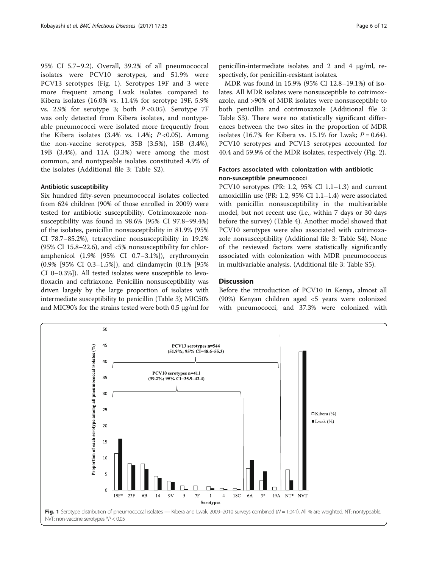95% CI 5.7–9.2). Overall, 39.2% of all pneumococcal isolates were PCV10 serotypes, and 51.9% were PCV13 serotypes (Fig. 1). Serotypes 19F and 3 were more frequent among Lwak isolates compared to Kibera isolates (16.0% vs. 11.4% for serotype 19F, 5.9% vs. 2.9% for serotype 3; both  $P < 0.05$ ). Serotype 7F was only detected from Kibera isolates, and nontypeable pneumococci were isolated more frequently from the Kibera isolates (3.4% vs. 1.4%;  $P < 0.05$ ). Among the non-vaccine serotypes, 35B (3.5%), 15B (3.4%), 19B (3.4%), and 11A (3.3%) were among the most common, and nontypeable isolates constituted 4.9% of the isolates (Additional file [3](#page-9-0): Table S2).

### Antibiotic susceptibility

Six hundred fifty-seven pneumococcal isolates collected from 624 children (90% of those enrolled in 2009) were tested for antibiotic susceptibility. Cotrimoxazole nonsusceptibility was found in 98.6% (95% CI 97.8–99.4%) of the isolates, penicillin nonsusceptibility in 81.9% (95% CI 78.7–85.2%), tetracycline nonsusceptibility in 19.2% (95% CI 15.8–22.6), and <5% nonsusceptibility for chloramphenicol (1.9% [95% CI 0.7–3.1%]), erythromycin (0.9% [95% CI 0.3–1.5%]), and clindamycin (0.1% [95% CI 0–0.3%]). All tested isolates were susceptible to levofloxacin and ceftriaxone. Penicillin nonsusceptibility was driven largely by the large proportion of isolates with intermediate susceptibility to penicillin (Table [3\)](#page-6-0); MIC50's and MIC90's for the strains tested were both 0.5 μg/ml for

penicillin-intermediate isolates and 2 and 4 μg/ml, respectively, for penicillin-resistant isolates.

MDR was found in 15.9% (95% CI 12.8–19.1%) of isolates. All MDR isolates were nonsusceptible to cotrimoxazole, and >90% of MDR isolates were nonsusceptible to both penicillin and cotrimoxazole (Additional file [3](#page-9-0): Table S3). There were no statistically significant differences between the two sites in the proportion of MDR isolates (16.7% for Kibera vs. 15.1% for Lwak;  $P = 0.64$ ). PCV10 serotypes and PCV13 serotypes accounted for 40.4 and 59.9% of the MDR isolates, respectively (Fig. [2](#page-6-0)).

### Factors associated with colonization with antibiotic non-susceptible pneumococci

PCV10 serotypes (PR: 1.2, 95% CI 1.1–1.3) and current amoxicillin use (PR: 1.2, 95% CI 1.1–1.4) were associated with penicillin nonsusceptibility in the multivariable model, but not recent use (i.e., within 7 days or 30 days before the survey) (Table [4](#page-7-0)). Another model showed that PCV10 serotypes were also associated with cotrimoxazole nonsusceptibility (Additional file [3:](#page-9-0) Table S4). None of the reviewed factors were statistically significantly associated with colonization with MDR pneumococcus in multivariable analysis. (Additional file [3:](#page-9-0) Table S5).

### **Discussion**

Before the introduction of PCV10 in Kenya, almost all (90%) Kenyan children aged <5 years were colonized with pneumococci, and 37.3% were colonized with

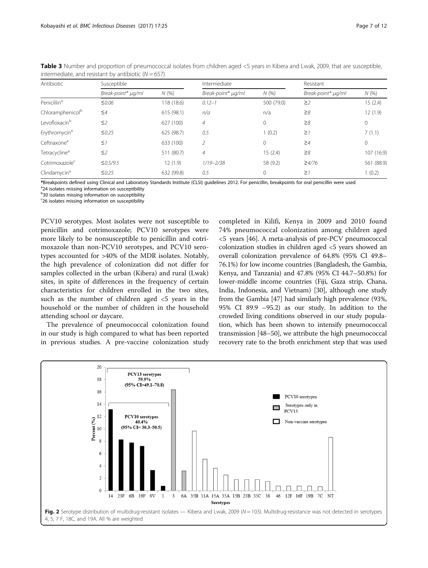| Antibiotic                   | Susceptible        |            | Intermediate       |              | Resistant          |            |
|------------------------------|--------------------|------------|--------------------|--------------|--------------------|------------|
|                              | Break-point* µg/ml | N(%        | Break-point* µg/ml | N(%          | Break-point* µg/ml | N (%)      |
| Penicillin <sup>a</sup>      | $\leq 0.06$        | 118 (18.6) | $0.12 - 1$         | 500 (79.0)   | $\geq$ 2           | 15(2.4)    |
| Chloramphenicol <sup>b</sup> | $\leq 4$           | 615(98.1)  | n/a                | n/a          | $\geq 8$           | 12(1.9)    |
| Levofloxacin <sup>b</sup>    | $\leq$ 2           | 627 (100)  | $\overline{4}$     | $\mathbf{0}$ | $\geq 8$           | 0          |
| Erythromycin <sup>a</sup>    | $\leq 0.25$        | 625 (98.7) | 0.5                | 1(0.2)       | $\geq$ 1           | 7(1.1)     |
| Ceftriaxone <sup>a</sup>     | $\leq$ 1           | 633 (100)  | $\mathcal{P}$      | $\mathbf{0}$ | $\geq 4$           | $\circ$    |
| Tetracycline <sup>a</sup>    | $\leq$ 2           | 511 (80.7) | $\overline{4}$     | 15(2.4)      | $\geq 8$           | 107 (16.9) |
| Cotrimoxazole <sup>c</sup>   | $\leq 0.5/9.5$     | 12(1.9)    | $1/19 - 2/38$      | 58 (9.2)     | $\geq 4/76$        | 561 (88.9) |
| Clindamycin <sup>a</sup>     | $\leq 0.25$        | 632 (99.8) | 0.5                | $\mathbf 0$  | $\geq$ 1           | 1(0.2)     |

<span id="page-6-0"></span>Table 3 Number and proportion of pneumococcal isolates from children aged <5 years in Kibera and Lwak, 2009, that are susceptible, intermediate, and resistant by antibiotic  $(N = 657)$ 

\*Breakpoints defined using Clinical and Laboratory Standards Institute (CLSI) guidelines 2012. For penicillin, breakpoints for oral penicillin were used<br><sup>an</sup>d isolates missing information on suscentibility

<sup>a</sup>24 isolates missing information on susceptibility

<sup>b</sup>30 isolates missing information on susceptibility

<sup>c</sup>26 isolates missing information on susceptibility

PCV10 serotypes. Most isolates were not susceptible to penicillin and cotrimoxazole; PCV10 serotypes were more likely to be nonsusceptible to penicillin and cotrimoxazole than non-PCV10 serotypes, and PCV10 serotypes accounted for >40% of the MDR isolates. Notably, the high prevalence of colonization did not differ for samples collected in the urban (Kibera) and rural (Lwak) sites, in spite of differences in the frequency of certain characteristics for children enrolled in the two sites, such as the number of children aged <5 years in the household or the number of children in the household attending school or daycare.

The prevalence of pneumococcal colonization found in our study is high compared to what has been reported in previous studies. A pre-vaccine colonization study

completed in Kilifi, Kenya in 2009 and 2010 found 74% pneumococcal colonization among children aged <5 years [\[46\]](#page-10-0). A meta-analysis of pre-PCV pneumococcal colonization studies in children aged <5 years showed an overall colonization prevalence of 64.8% (95% CI 49.8– 76.1%) for low income countries (Bangladesh, the Gambia, Kenya, and Tanzania) and 47.8% (95% CI 44.7–50.8%) for lower-middle income countries (Fiji, Gaza strip, Chana, India, Indonesia, and Vietnam) [\[30\]](#page-10-0), although one study from the Gambia [\[47](#page-10-0)] had similarly high prevalence (93%, 95% CI 89.9 –95.2) as our study. In addition to the crowded living conditions observed in our study population, which has been shown to intensify pneumococcal transmission [\[48](#page-10-0)–[50](#page-10-0)], we attribute the high pneumococcal recovery rate to the broth enrichment step that was used

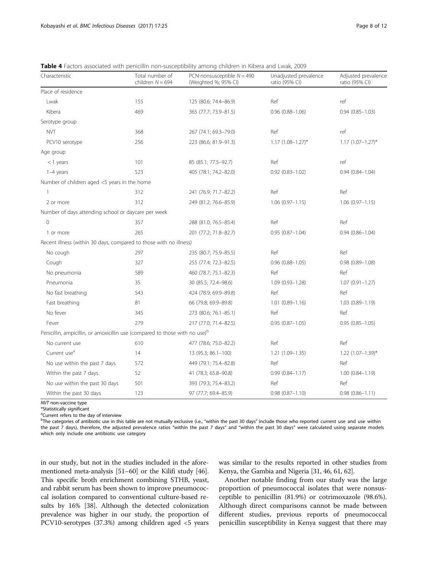<span id="page-7-0"></span>

| <b>Table 4</b> Factors associated with penicillin non-susceptibility among children in Kibera and Lwak. 2009 |  |  |
|--------------------------------------------------------------------------------------------------------------|--|--|
|                                                                                                              |  |  |

| Characteristic                                                                          | Total number of<br>children $N = 694$ | PCN-nonsusceptible $N = 490$<br>(Weighted %; 95% CI) | Unadjusted prevalence<br>ratio (95% CI) | Adjusted prevalence<br>ratio (95% CI) |
|-----------------------------------------------------------------------------------------|---------------------------------------|------------------------------------------------------|-----------------------------------------|---------------------------------------|
| Place of residence                                                                      |                                       |                                                      |                                         |                                       |
| Lwak                                                                                    | 155                                   | 125 (80.6; 74.4-86.9)                                | Ref                                     |                                       |
| Kibera                                                                                  | 469                                   | 365 (77.7; 73.9-81.5)                                | $0.96$ $(0.88 - 1.06)$                  | $0.94(0.85 - 1.03)$                   |
| Serotype group                                                                          |                                       |                                                      |                                         |                                       |
| <b>NVT</b>                                                                              | 368                                   | 267 (74.1; 69.3-79.0)                                | Ref                                     | ref                                   |
| PCV10 serotype                                                                          | 256                                   | 223 (86.6; 81.9-91.3)                                | $1.17$ (1.08-1.27)*                     | $1.17 (1.07 - 1.27)^*$                |
| Age group                                                                               |                                       |                                                      |                                         |                                       |
| $<$ 1 years                                                                             | 101                                   | 85 (85.1; 77.5-92.7)                                 | Ref                                     | ref                                   |
| 1-4 years                                                                               | 523                                   | 405 (78.1; 74.2-82.0)                                | $0.92$ $(0.83 - 1.02)$                  | $0.94(0.84 - 1.04)$                   |
| Number of children aged $<$ 5 years in the home                                         |                                       |                                                      |                                         |                                       |
| $\mathbf{1}$                                                                            | 312                                   | 241 (76.9; 71.7-82.2)                                | Ref                                     | Ref                                   |
| 2 or more                                                                               | 312                                   | 249 (81.2; 76.6-85.9)                                | $1.06(0.97 - 1.15)$                     | $1.06(0.97 - 1.15)$                   |
| Number of days attending school or daycare per week                                     |                                       |                                                      |                                         |                                       |
| $\overline{0}$                                                                          | 357                                   | 288 (81.0; 76.5-85.4)                                | Ref                                     | Ref                                   |
| 1 or more                                                                               | 265                                   | 201 (77.2; 71.8-82.7)                                | $0.95(0.87 - 1.04)$                     | $0.94(0.86 - 1.04)$                   |
| Recent illness (within 30 days, compared to those with no illness)                      |                                       |                                                      |                                         |                                       |
| No cough                                                                                | 297                                   | 235 (80.7; 75.9-85.5)                                | Ref                                     | Ref                                   |
| Cough                                                                                   | 327                                   | 255 (77.4; 72.3-82.5)                                | $0.96$ $(0.88 - 1.05)$                  | $0.98(0.89 - 1.08)$                   |
| No pneumonia                                                                            | 589                                   | 460 (78.7; 75.1-82.3)                                | Ref                                     | Ref                                   |
| Pneumonia                                                                               | 35                                    | 30 (85.5; 72.4-98.6)                                 | 1.09 (0.93-1.28)                        | $1.07(0.91 - 1.27)$                   |
| No fast breathing                                                                       | 543                                   | 424 (78.9; 69.9-89.8)                                | Ref                                     | Ref                                   |
| Fast breathing                                                                          | 81                                    | 66 (79.8; 69.9-89.8)                                 | $1.01$ $(0.89 - 1.16)$                  | $1.03(0.89 - 1.19)$                   |
| No fever                                                                                | 345                                   | 273 (80.6; 76.1-85.1)                                | Ref                                     | Ref                                   |
| Fever                                                                                   | 279                                   | 217 (77.0; 71.4-82.5)                                | $0.95(0.87 - 1.05)$                     | $0.95(0.85 - 1.05)$                   |
| Penicillin, ampicillin, or amoxicillin use (compared to those with no use) <sup>b</sup> |                                       |                                                      |                                         |                                       |
| No current use                                                                          | 610                                   | 477 (78.6; 75.0-82.2)                                | Ref                                     | Ref                                   |
| Current use <sup>a</sup>                                                                | 14                                    | 13 (95.3; 86.1-100)                                  | $1.21(1.09 - 1.35)$                     | $1.22$ (1.07-1.39)*                   |
| No use within the past 7 days                                                           | 572                                   | 449 (79.1; 75.4-82.8)                                | Ref                                     | Ref                                   |
| Within the past 7 days                                                                  | 52                                    | 41 (78.3; 65.8-90.8)                                 | $0.99(0.84 - 1.17)$                     | $1.00(0.84 - 1.19)$                   |
| No use within the past 30 days                                                          | 501                                   | 393 (79.3; 75.4-83.2)                                | Ref                                     | Ref                                   |
| Within the past 30 days                                                                 | 123                                   | 97 (77.7; 69.4-85.9)                                 | $0.98$ $(0.87 - 1.10)$                  | $0.98(0.86 - 1.11)$                   |

NVT non-vaccine type

\*Statistically significant

<sup>a</sup>Current refers to the day of interview

<sup>b</sup>The categories of antibiotic use in this table are not mutually exclusive (i.e., "within the past 30 days" include those who reported current use and use within the past 7 days), therefore, the adjusted prevalence ratios "within the past 7 days" and "within the past 30 days" were calculated using separate models which only include one antibiotic use category

in our study, but not in the studies included in the aforementioned meta-analysis [\[51](#page-10-0)–[60](#page-11-0)] or the Kilifi study [[46](#page-10-0)]. This specific broth enrichment combining STHB, yeast, and rabbit serum has been shown to improve pneumococcal isolation compared to conventional culture-based results by 16% [\[38\]](#page-10-0). Although the detected colonization prevalence was higher in our study, the proportion of PCV10-serotypes (37.3%) among children aged <5 years was similar to the results reported in other studies from Kenya, the Gambia and Nigeria [[31](#page-10-0), [46,](#page-10-0) [61](#page-11-0), [62\]](#page-11-0).

Another notable finding from our study was the large proportion of pneumococcal isolates that were nonsusceptible to penicillin (81.9%) or cotrimoxazole (98.6%). Although direct comparisons cannot be made between different studies, previous reports of pneumococcal penicillin susceptibility in Kenya suggest that there may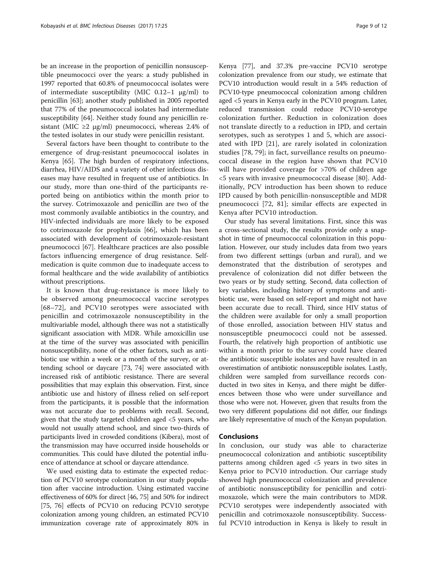be an increase in the proportion of penicillin nonsusceptible pneumococci over the years: a study published in 1997 reported that 60.8% of pneumococcal isolates were of intermediate susceptibility (MIC  $0.12-1 \mu g/ml$ ) to penicillin [[63\]](#page-11-0); another study published in 2005 reported that 77% of the pneumococcal isolates had intermediate susceptibility [[64\]](#page-11-0). Neither study found any penicillin resistant (MIC  $\geq$ 2 µg/ml) pneumococci, whereas 2.4% of the tested isolates in our study were penicillin resistant.

Several factors have been thought to contribute to the emergence of drug-resistant pneumococcal isolates in Kenya [[65\]](#page-11-0). The high burden of respiratory infections, diarrhea, HIV/AIDS and a variety of other infectious diseases may have resulted in frequent use of antibiotics. In our study, more than one-third of the participants reported being on antibiotics within the month prior to the survey. Cotrimoxazole and penicillin are two of the most commonly available antibiotics in the country, and HIV-infected individuals are more likely to be exposed to cotrimoxazole for prophylaxis [[66\]](#page-11-0), which has been associated with development of cotrimoxazole-resistant pneumococci [[67\]](#page-11-0). Healthcare practices are also possible factors influencing emergence of drug resistance. Selfmedication is quite common due to inadequate access to formal healthcare and the wide availability of antibiotics without prescriptions.

It is known that drug-resistance is more likely to be observed among pneumococcal vaccine serotypes [[68](#page-11-0)–[72](#page-11-0)], and PCV10 serotypes were associated with penicillin and cotrimoxazole nonsusceptibility in the multivariable model, although there was not a statistically significant association with MDR. While amoxicillin use at the time of the survey was associated with penicillin nonsusceptibility, none of the other factors, such as antibiotic use within a week or a month of the survey, or attending school or daycare [[73, 74\]](#page-11-0) were associated with increased risk of antibiotic resistance. There are several possibilities that may explain this observation. First, since antibiotic use and history of illness relied on self-report from the participants, it is possible that the information was not accurate due to problems with recall. Second, given that the study targeted children aged <5 years, who would not usually attend school, and since two-thirds of participants lived in crowded conditions (Kibera), most of the transmission may have occurred inside households or communities. This could have diluted the potential influence of attendance at school or daycare attendance.

We used existing data to estimate the expected reduction of PCV10 serotype colonization in our study population after vaccine introduction. Using estimated vaccine effectiveness of 60% for direct [\[46,](#page-10-0) [75](#page-11-0)] and 50% for indirect [[75](#page-11-0), [76\]](#page-11-0) effects of PCV10 on reducing PCV10 serotype colonization among young children, an estimated PCV10 immunization coverage rate of approximately 80% in Kenya [\[77\]](#page-11-0), and 37.3% pre-vaccine PCV10 serotype colonization prevalence from our study, we estimate that PCV10 introduction would result in a 54% reduction of PCV10-type pneumococcal colonization among children aged <5 years in Kenya early in the PCV10 program. Later, reduced transmission could reduce PCV10-serotype colonization further. Reduction in colonization does not translate directly to a reduction in IPD, and certain serotypes, such as serotypes 1 and 5, which are associated with IPD [\[21](#page-10-0)], are rarely isolated in colonization studies [[78, 79\]](#page-11-0); in fact, surveillance results on pneumococcal disease in the region have shown that PCV10 will have provided coverage for >70% of children age <5 years with invasive pneumococcal disease [[80\]](#page-11-0). Additionally, PCV introduction has been shown to reduce IPD caused by both penicillin-nonsusceptible and MDR pneumococci [\[72](#page-11-0), [81\]](#page-11-0); similar effects are expected in Kenya after PCV10 introduction.

Our study has several limitations. First, since this was a cross-sectional study, the results provide only a snapshot in time of pneumococcal colonization in this population. However, our study includes data from two years from two different settings (urban and rural), and we demonstrated that the distribution of serotypes and prevalence of colonization did not differ between the two years or by study setting. Second, data collection of key variables, including history of symptoms and antibiotic use, were based on self-report and might not have been accurate due to recall. Third, since HIV status of the children were available for only a small proportion of those enrolled, association between HIV status and nonsusceptible pneumococci could not be assessed. Fourth, the relatively high proportion of antibiotic use within a month prior to the survey could have cleared the antibiotic susceptible isolates and have resulted in an overestimation of antibiotic nonsusceptible isolates. Lastly, children were sampled from surveillance records conducted in two sites in Kenya, and there might be differences between those who were under surveillance and those who were not. However, given that results from the two very different populations did not differ, our findings are likely representative of much of the Kenyan population.

### Conclusions

In conclusion, our study was able to characterize pneumococcal colonization and antibiotic susceptibility patterns among children aged <5 years in two sites in Kenya prior to PCV10 introduction. Our carriage study showed high pneumococcal colonization and prevalence of antibiotic nonsusceptibility for penicillin and cotrimoxazole, which were the main contributors to MDR. PCV10 serotypes were independently associated with penicillin and cotrimoxazole nonsusceptibility. Successful PCV10 introduction in Kenya is likely to result in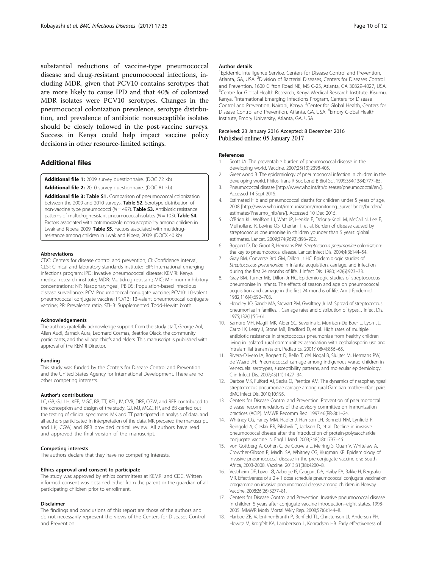<span id="page-9-0"></span>substantial reductions of vaccine-type pneumococcal disease and drug-resistant pneumococcal infections, including MDR, given that PCV10 contains serotypes that are more likely to cause IPD and that 40% of colonized MDR isolates were PCV10 serotypes. Changes in the pneumococcal colonization prevalence, serotype distribution, and prevalence of antibiotic nonsusceptible isolates should be closely followed in the post-vaccine surveys. Success in Kenya could help impact vaccine policy decisions in other resource-limited settings.

### Additional files

[Additional file 1:](dx.doi.org/10.1186/s12879-016-2103-0) 2009 survey questionnaire. (DOC 72 kb)

[Additional file 2:](dx.doi.org/10.1186/s12879-016-2103-0) 2010 survey questionnaire. (DOC 81 kb)

[Additional file 3:](dx.doi.org/10.1186/s12879-016-2103-0) Table S1. Comparison of pneumococcal colonization between the 2009 and 2010 surveys. Table S2. Serotype distribution of non-vaccine type pneumococci ( $N = 497$ ). Table S3. Antibiotic resistance patterns of multidrug-resistant pneumococcal isolates ( $N = 103$ ). Table S4. Factors associated with cotrimoxazole nonsusceptibility among children in Lwak and Kibera, 2009. Table S5. Factors associated with multidrugresistance among children in Lwak and Kibera, 2009. (DOCX 40 kb)

#### Abbreviations

CDC: Centers for disease control and prevention; CI: Confidence interval; CLSI: Clinical and laboratory standards institute; IEIP: International emerging infections program; IPD: Invasive pneumococcal disease; KEMRI: Kenya medical research institute; MDR: Multidrug resistant; MIC: Minimum inhibitory concentrations; NP: Nasopharyngeal; PBIDS: Population-based infectious disease surveillance; PCV: Pneumococcal conjugate vaccine; PCV10: 10-valent pneumococcal conjugate vaccine; PCV13: 13-valent pneumococcal conjugate vaccine; PR: Prevalence ratio; STHB: Supplemented Todd-Hewitt broth

#### Acknowledgements

The authors gratefully acknowledge support from the study staff, George Aol, Allan Audi, Barrack Aura, Leornard Cosmas, Beatrice Olack, the community participants, and the village chiefs and elders. This manuscript is published with approval of the KEMRI Director.

#### Funding

This study was funded by the Centers for Disease Control and Prevention and the United States Agency for International Development. There are no other competing interests.

#### Author's contributions

LC, GB, GJ, LH, KEF, MGC, BB, TT, KFL, JV, CVB, DRF, CGW, and RFB contributed to the conception and design of the study, GJ, MJ, MGC, FP, and BB carried out the testing of clinical specimens. MK and TT participated in analysis of data, and all authors participated in interpretation of the data. MK prepared the manuscript, and LK, CGW, and RFB provided critical review. All authors have read and approved the final version of the manuscript.

#### Competing interests

The authors declare that they have no competing interests.

#### Ethics approval and consent to participate

The study was approved by ethics committees at KEMRI and CDC. Written informed consent was obtained either from the parent or the guardian of all participating children prior to enrollment.

#### Disclaimer

The findings and conclusions of this report are those of the authors and do not necessarily represent the views of the Centers for Diseases Control and Prevention.

#### Author details

<sup>1</sup> Epidemic Intelligence Service, Centers for Disease Control and Prevention, Atlanta, GA, USA. <sup>2</sup> Division of Bacterial Diseases, Centers for Diseases Control and Prevention, 1600 Clifton Road NE, MS C-25, Atlanta, GA 30329-4027, USA. <sup>3</sup>Centre for Global Health Research, Kenya Medical Research Institute, Kisumu, Kenya. <sup>4</sup>International Emerging Infections Program, Centers for Disease Control and Prevention, Nairobi, Kenya. <sup>5</sup>Center for Global Health, Centers for Disease Control and Prevention, Atlanta, GA, USA. <sup>6</sup>Emory Global Health Institute, Emory University, Atlanta, GA, USA.

#### Received: 23 January 2016 Accepted: 8 December 2016 Published online: 05 January 2017

#### References

- 1. Scott JA. The preventable burden of pneumococcal disease in the developing world. Vaccine. 2007;25(13):2398-405.
- 2. Greenwood B. The epidemiology of pneumococcal infection in children in the developing world. Philos Trans R Soc Lond B Biol Sci. 1999;354(1384):777–85.
- 3. Pneumococcal disease [\[http://www.who.int/ith/diseases/pneumococcal/en/\]](http://www.who.int/ith/diseases/pneumococcal/en/). Accessed 14 Sept 2015.
- 4. Estimated Hib and pneumococcal deaths for children under 5 years of age, 2008 [\[http://www.who.int/immunization/monitoring\\_surveillance/burden/](http://www.who.int/immunization/monitoring_surveillance/burden/estimates/Pneumo_hib/en/) [estimates/Pneumo\\_hib/en/\]](http://www.who.int/immunization/monitoring_surveillance/burden/estimates/Pneumo_hib/en/). Accessed 10 Dec 2015.
- 5. O'Brien KL, Wolfson LJ, Watt JP, Henkle E, Deloria-Knoll M, McCall N, Lee E, Mulholland K, Levine OS, Cherian T, et al. Burden of disease caused by streptococcus pneumoniae in children younger than 5 years: global estimates. Lancet. 2009;374(9693):893–902.
- 6. Bogaert D, De Groot R, Hermans PW. Streptococcus pneumoniae colonisation: the key to pneumococcal disease. Lancet Infect Dis. 2004;4(3):144–54.
- 7. Gray BM, Converse 3rd GM, Dillon Jr HC. Epidemiologic studies of Streptococcus pneumoniae in infants: acquisition, carriage, and infection during the first 24 months of life. J Infect Dis. 1980;142(6):923–33.
- 8. Gray BM, Turner ME, Dillon Jr HC. Epidemiologic studies of streptococcus pneumoniae in infants. The effects of season and age on pneumococcal acquisition and carriage in the first 24 months of life. Am J Epidemiol. 1982;116(4):692–703.
- 9. Hendley JO, Sande MA, Stewart PM, Gwaltney Jr JM. Spread of streptococcus pneumoniae in families. I. Carriage rates and distribution of types. J Infect Dis. 1975;132(1):55–61.
- 10. Samore MH, Magill MK, Alder SC, Severina E, Morrison-De Boer L, Lyon JL, Carroll K, Leary J, Stone MB, Bradford D, et al. High rates of multiple antibiotic resistance in streptococcus pneumoniae from healthy children living in isolated rural communities: association with cephalosporin use and intrafamilial transmission. Pediatrics. 2001;108(4):856–65.
- 11. Rivera-Olivero IA, Bogaert D, Bello T, del Nogal B, Sluijter M, Hermans PW, de Waard JH. Pneumococcal carriage among indigenous warao children in Venezuela: serotypes, susceptibility patterns, and molecular epidemiology. Clin Infect Dis. 2007;45(11):1427–34.
- 12. Darboe MK, Fulford AJ, Secka O, Prentice AM. The dynamics of nasopharyngeal streptococcus pneumoniae carriage among rural Gambian mother-infant pairs. BMC Infect Dis. 2010;10:195.
- 13. Centers for Disease Control and Prevention. Prevention of pneumococcal disease: recommendations of the advisory committee on immunization practices (ACIP). MMWR Recomm Rep. 1997;46(RR-8):1–24.
- 14. Whitney CG, Farley MM, Hadler J, Harrison LH, Bennett NM, Lynfield R, Reingold A, Cieslak PR, Pilishvili T, Jackson D, et al. Decline in invasive pneumococcal disease after the introduction of protein-polysaccharide conjugate vaccine. N Engl J Med. 2003;348(18):1737–46.
- 15. von Gottberg A, Cohen C, de Gouveia L, Meiring S, Quan V, Whitelaw A, Crowther-Gibson P, Madhi SA, Whitney CG, Klugman KP. Epidemiology of invasive pneumococcal disease in the pre-conjugate vaccine era: South Africa, 2003-2008. Vaccine. 2013;31(38):4200–8.
- 16. Vestrheim DF, Løvoll Ø, Aaberge IS, Caugant DA, Høiby EA, Bakke H, Bergsaker MR. Effectiveness of a 2 + 1 dose schedule pneumococcal conjugate vaccination programme on invasive pneumococcal disease among children in Norway. Vaccine. 2008;26(26):3277–81.
- 17. Centers for Disease Control and Prevention. Invasive pneumococcal disease in children 5 years after conjugate vaccine introduction–eight states, 1998- 2005. MMWR Morb Mortal Wkly Rep. 2008;57(6):144–8.
- 18. Harboe ZB, Valentiner-Branth P, Benfield TL, Christensen JJ, Andersen PH, Howitz M, Krogfelt KA, Lambertsen L, Konradsen HB. Early effectiveness of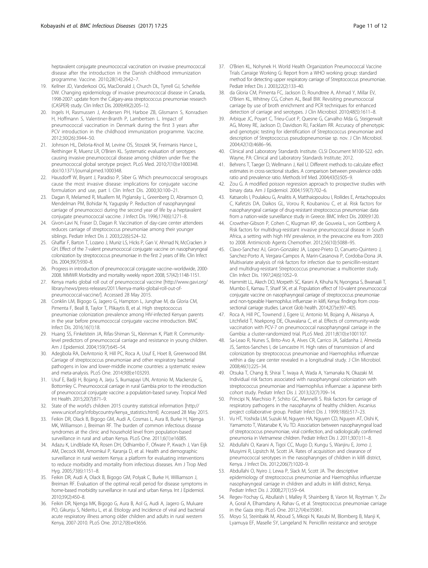<span id="page-10-0"></span>heptavalent conjugate pneumococcal vaccination on invasive pneumococcal disease after the introduction in the Danish childhood immunization programme. Vaccine. 2010;28(14):2642–7.

- 19. Kellner JD, Vanderkooi OG, MacDonald J, Church DL, Tyrrell GJ, Scheifele DW. Changing epidemiology of invasive pneumococcal disease in Canada, 1998-2007: update from the Calgary-area streptococcus pneumoniae research (CASPER) study. Clin Infect Dis. 2009;49(2):205–12.
- 20. Ingels H, Rasmussen J, Andersen PH, Harboe ZB, Glismann S, Konradsen H, Hoffmann S, Valentiner-Branth P, Lambertsen L. Impact of pneumococcal vaccination in Denmark during the first 3 years after PCV introduction in the childhood immunization programme. Vaccine. 2012;30(26):3944–50.
- 21. Johnson HL, Deloria-Knoll M, Levine OS, Stoszek SK, Freimanis Hance L, Reithinger R, Muenz LR, O'Brien KL. Systematic evaluation of serotypes causing invasive pneumococcal disease among children under five: the pneumococcal global serotype project. PLoS Med. 2010;7(10):e1000348. doi[:10.1371/journal.pmed.1000348.](http://dx.doi.org/10.1371/journal.pmed.1000348)
- 22. Hausdorff W, Bryant J, Paradiso P, Siber G. Which pneumococcal serogroups cause the most invasive disease: implications for conjugate vaccine formulation and use, part I. Clin Infect Dis. 2000;30:100–21.
- 23. Dagan R, Melamed R, Muallem M, Piglansky L, Greenberg D, Abramson O, Mendelman PM, Bohidar N, Yagupsky P. Reduction of nasopharyngeal carriage of pneumococci during the second year of life by a heptavalent conjugate pneumococcal vaccine. J Infect Dis. 1996;174(6):1271–8.
- 24. Givon-Lavi N, Fraser D, Dagan R. Vaccination of day-care center attendees reduces carriage of streptococcus pneumoniae among their younger siblings. Pediatr Infect Dis J. 2003;22(6):524–32.
- 25. Ghaffar F, Barton T, Lozano J, Muniz LS, Hicks P, Gan V, Ahmad N, McCracken Jr GH. Effect of the 7-valent pneumococcal conjugate vaccine on nasopharyngeal colonization by streptococcus pneumoniae in the first 2 years of life. Clin Infect Dis. 2004;39(7):930–8.
- 26. Progress in introduction of pneumococcal conjugate vaccine–worldwide, 2000- 2008. MMWR Morbidity and mortality weekly report 2008, 57(42):1148-1151.
- 27. Kenya marks global roll out of pneumococcal vaccine [\[http://www.gavi.org/](http://www.gavi.org/library/news/press-releases/2011/kenya-marks-global-roll-out-of-pneumococcal-vaccine/) [library/news/press-releases/2011/kenya-marks-global-roll-out-of](http://www.gavi.org/library/news/press-releases/2011/kenya-marks-global-roll-out-of-pneumococcal-vaccine/)[pneumococcal-vaccine/\]](http://www.gavi.org/library/news/press-releases/2011/kenya-marks-global-roll-out-of-pneumococcal-vaccine/). Accessed 28 May 2015.
- 28. Conklin LM, Bigogo G, Jagero G, Hampton L, Junghae M, da Gloria CM, Pimenta F, Beall B, Taylor T, Plikaytis B, et al. High streptococcus pneumoniae colonization prevalence among HIV-infected Kenyan parents in the year before pneumococcal conjugate vaccine introduction. BMC Infect Dis. 2016;16(1):18.
- 29. Huang SS, Finkelstein JA, Rifas-Shiman SL, Kleinman K, Platt R. Communitylevel predictors of pneumococcal carriage and resistance in young children. Am J Epidemiol. 2004;159(7):645–54.
- 30. Adegbola RA, DeAntonio R, Hill PC, Roca A, Usuf E, Hoet B, Greenwood BM. Carriage of streptococcus pneumoniae and other respiratory bacterial pathogens in low and lower-middle income countries: a systematic review and meta-analysis. PLoS One. 2014;9(8):e103293.
- 31. Usuf E, Badji H, Bojang A, Jarju S, Ikumapayi UN, Antonio M, Mackenzie G, Bottomley C. Pneumococcal carriage in rural Gambia prior to the introduction of pneumococcal conjugate vaccine: a population-based survey. Tropical Med Int Health. 2015;20(7):871–9.
- 32. State of the world's children 2015 country statistical information [\[http://](http://www.unicef.org/infobycountry/kenya_statistics.html) [www.unicef.org/infobycountry/kenya\\_statistics.html\]](http://www.unicef.org/infobycountry/kenya_statistics.html). Accessed 28 May 2015.
- 33. Feikin DR, Olack B, Bigogo GM, Audi A, Cosmas L, Aura B, Burke H, Njenga MK, Williamson J, Breiman RF. The burden of common infectious disease syndromes at the clinic and household level from population-based surveillance in rural and urban Kenya. PLoS One. 2011;6(1):e16085.
- 34. Adazu K, Lindblade KA, Rosen DH, Odhiambo F, Ofware P, Kwach J, Van Eijk AM, Decock KM, Amornkul P, Karanja D, et al. Health and demographic surveillance in rural western Kenya: a platform for evaluating interventions to reduce morbidity and mortality from infectious diseases. Am J Trop Med Hyg. 2005;73(6):1151–8.
- 35. Feikin DR, Audi A, Olack B, Bigogo GM, Polyak C, Burke H, Williamson J, Breiman RF. Evaluation of the optimal recall period for disease symptoms in home-based morbidity surveillance in rural and urban Kenya. Int J Epidemiol. 2010;39(2):450–8.
- 36. Feikin DR, Njenga MK, Bigogo G, Aura B, Aol G, Audi A, Jagero G, Muluare PO, Gikunju S, Nderitu L, et al. Etiology and Incidence of viral and bacterial acute respiratory illness among older children and adults in rural western Kenya, 2007-2010. PLoS One. 2012;7(8):e43656.
- 37. O'Brien KL, Nohynek H. World Health Organization Pneumococcal Vaccine Trials Carraige Working G: Report from a WHO working group: standard method for detecting upper respiratory carriage of Streptococcus pneumoniae. Pediatr Infect Dis J. 2003;22(2):133–40.
- 38. da Gloria CM, Pimenta FC, Jackson D, Roundtree A, Ahmad Y, Millar EV, O'Brien KL, Whitney CG, Cohen AL, Beall BW. Revisiting pneumococcal carriage by use of broth enrichment and PCR techniques for enhanced detection of carriage and serotypes. J Clin Microbiol. 2010;48(5):1611–8.
- 39. Arbique JC, Poyart C, Trieu-Cuot P, Quesne G, Carvalho Mda G, Steigerwalt AG, Morey RE, Jackson D, Davidson RJ, Facklam RR. Accuracy of phenotypic and genotypic testing for identification of Streptococcus pneumoniae and description of Streptococcus pseudopneumoniae sp. nov. J Clin Microbiol. 2004;42(10):4686–96.
- 40. Clinical and Laboratory Standards Institute. CLSI Document M100-S22. edn. Wayne, PA: Clinical and Laboratory Standards Institute; 2012.
- 41. Behrens T, Taeger D, Wellmann J, Keil U. Different methods to calculate effect estimates in cross-sectional studies. A comparison between prevalence odds ratio and prevalence ratio. Methods Inf Med. 2004;43(5):505–9.
- 42. Zou G. A modified poisson regression approach to prospective studies with binary data. Am J Epidemiol. 2004;159(7):702–6.
- 43. Katsarolis I, Poulakou G, Analitis A, Matthaiopoulou I, Roilides E, Antachopoulos C, Kafetzis DA, Daikos GL, Vorou R, Koubaniou C, et al. Risk factors for nasopharyngeal carriage of drug-resistant streptococcus pneumoniae: data from a nation-wide surveillance study in Greece. BMC Infect Dis. 2009;9:120.
- 44. Crowther-Gibson P, Cohen C, Klugman KP, de Gouveia L, von Gottberg A. Risk factors for multidrug-resistant invasive pneumococcal disease in South Africa, a setting with high HIV prevalence, in the prevaccine era from 2003 to 2008. Antimicrob Agents Chemother. 2012;56(10):5088–95.
- 45. Clavo-Sanchez AJ, Giron-Gonzalez JA, Lopez-Prieto D, Canueto-Quintero J, Sanchez-Porto A, Vergara-Campos A, Marin-Casanova P, Cordoba-Dona JA. Multivariate analysis of risk factors for infection due to penicillin-resistant and multidrug-resistant Streptococcus pneumoniae: a multicenter study. Clin Infect Dis. 1997;24(6):1052–9.
- 46. Hammitt LL, Akech DO, Morpeth SC, Karani A, Kihuha N, Nyongesa S, Bwanaali T, Mumbo E, Kamau T, Sharif SK, et al. Population effect of 10-valent pneumococcal conjugate vaccine on nasopharyngeal carriage of streptococcus pneumoniae and non-typeable Haemophilus influenzae in kilifi, Kenya: findings from crosssectional carriage studies. Lancet Glob health. 2014;2(7):e397–405.
- 47. Roca A, Hill PC, Townend J, Egere U, Antonio M, Bojang A, Akisanya A, Litchfield T, Nsekpong DE, Oluwalana C, et al. Effects of community-wide vaccination with PCV-7 on pneumococcal nasopharyngeal carriage in the Gambia: a cluster-randomized trial. PLoS Med. 2011;8(10):e1001107.
- 48. Sa-Leao R, Nunes S, Brito-Avo A, Alves CR, Carrico JA, Saldanha J, Almeida JS, Santos-Sanches I, de Lencastre H. High rates of transmission of and colonization by streptococcus pneumoniae and Haemophilus influenzae within a day care center revealed in a longitudinal study. J Clin Microbiol. 2008;46(1):225–34.
- 49. Otsuka T, Chang B, Shirai T, Iwaya A, Wada A, Yamanaka N, Okazaki M. Individual risk factors associated with nasopharyngeal colonization with streptococcus pneumoniae and Haemophilus influenzae: a Japanese birth cohort study. Pediatr Infect Dis J. 2013;32(7):709–14.
- 50. Principi N, Marchisio P, Schito GC, Mannelli S. Risk factors for carriage of respiratory pathogens in the nasopharynx of healthy children. Ascanius project collaborative group. Pediatr Infect Dis J. 1999;18(6):517–23.
- 51. Vu HT, Yoshida LM, Suzuki M, Nguyen HA, Nguyen CD, Nguyen AT, Oishi K, Yamamoto T, Watanabe K, Vu TD. Association between nasopharyngeal load of streptococcus pneumoniae, viral coinfection, and radiologically confirmed pneumonia in Vietnamese children. Pediatr Infect Dis J. 2011;30(1):11–8.
- 52. Abdullahi O, Karani A, Tigoi CC, Mugo D, Kungu S, Wanjiru E, Jomo J, Musyimi R, Lipsitch M, Scott JA. Rates of acquisition and clearance of pneumococcal serotypes in the nasopharynges of children in kilifi district, Kenya. J Infect Dis. 2012;206(7):1020–9.
- 53. Abdullahi O, Nyiro J, Lewa P, Slack M, Scott JA. The descriptive epidemiology of streptococcus pneumoniae and Haemophilus influenzae nasopharyngeal carriage in children and adults in kilifi district, Kenya. Pediatr Infect Dis J. 2008;27(1):59–64.
- 54. Regev-Yochay G, Abullaish I, Malley R, Shainberg B, Varon M, Roytman Y, Ziv A, Goral A, Elhamdany A, Rahav G, et al. Streptococcus pneumoniae carriage in the Gaza strip. PLoS One. 2012;7(4):e35061.
- 55. Moyo SJ, Steinbakk M, Aboud S, Mkopi N, Kasubi M, Blomberg B, Manji K, Lyamuya EF, Maselle SY, Langeland N. Penicillin resistance and serotype